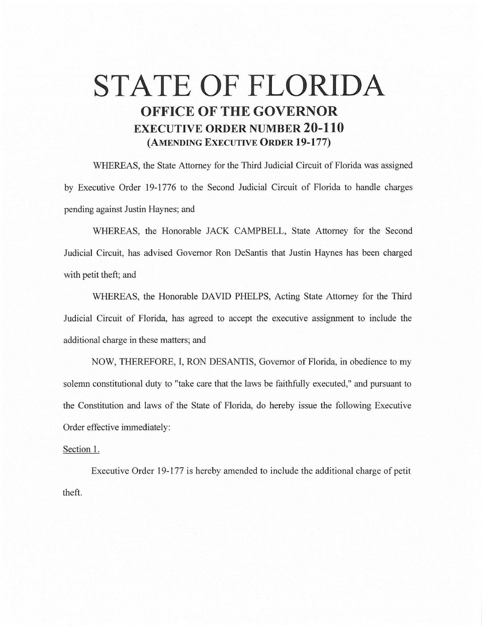## **STATE OF FLORIDA OFFICE OF THE GOVERNOR EXECUTIVE ORDER NUMBER 20-110 (AMENDING EXECUTIVE ORDER 19-177)**

WHEREAS, the State Attorney for the Third Judicial Circuit of Florida was assigned by Executive Order 19-1776 to the Second Judicial Circuit of Florida to handle charges pending against Justin Haynes; and

WHEREAS, the Honorable JACK CAMPBELL, State Attorney for the Second Judicial Circuit, has advised Governor Ron DeSantis that Justin Haynes has been charged with petit theft; and

WHEREAS, the Honorable DAVID PHELPS, Acting State Attorney for the Third Judicial Circuit of Florida, has agreed to accept the executive assignment to include the additional charge in these matters; and

NOW, THEREFORE, I, RON DESANTIS, Governor of Florida, in obedience to my solemn constitutional duty to "take care that the laws be faithfully executed," and pursuant to the Constitution and laws of the State of Florida, do hereby issue the following Executive Order effective immediately:

## Section 1.

Executive Order 19-177 is hereby amended to include the additional charge of petit theft.